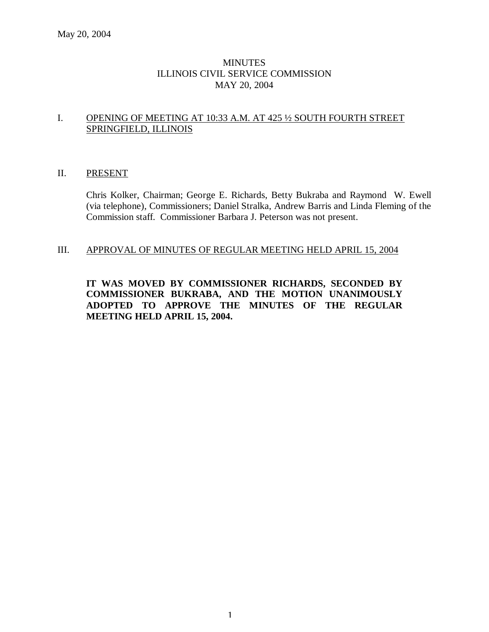## **MINUTES** ILLINOIS CIVIL SERVICE COMMISSION MAY 20, 2004

## I. OPENING OF MEETING AT 10:33 A.M. AT 425 ½ SOUTH FOURTH STREET SPRINGFIELD, ILLINOIS

## II. PRESENT

Chris Kolker, Chairman; George E. Richards, Betty Bukraba and Raymond W. Ewell (via telephone), Commissioners; Daniel Stralka, Andrew Barris and Linda Fleming of the Commission staff. Commissioner Barbara J. Peterson was not present.

#### III. APPROVAL OF MINUTES OF REGULAR MEETING HELD APRIL 15, 2004

**IT WAS MOVED BY COMMISSIONER RICHARDS, SECONDED BY COMMISSIONER BUKRABA, AND THE MOTION UNANIMOUSLY ADOPTED TO APPROVE THE MINUTES OF THE REGULAR MEETING HELD APRIL 15, 2004.**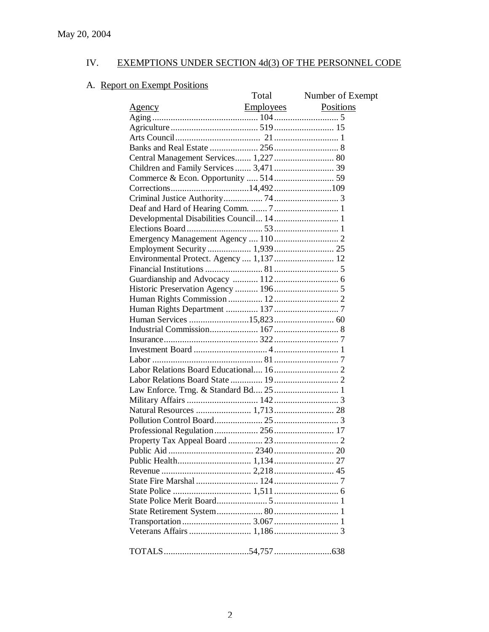# A. Report on Exempt Positions

|                                          | Total            | Number of Exempt |
|------------------------------------------|------------------|------------------|
| <u>Agency</u>                            | <b>Employees</b> | Positions        |
|                                          |                  |                  |
|                                          |                  |                  |
|                                          |                  |                  |
|                                          |                  |                  |
| Central Management Services 1,227 80     |                  |                  |
|                                          |                  |                  |
|                                          |                  |                  |
|                                          |                  |                  |
|                                          |                  |                  |
|                                          |                  |                  |
| Developmental Disabilities Council 14 1  |                  |                  |
|                                          |                  |                  |
|                                          |                  |                  |
| Employment Security  1,939  25           |                  |                  |
| Environmental Protect. Agency  1,137  12 |                  |                  |
|                                          |                  |                  |
|                                          |                  |                  |
|                                          |                  |                  |
|                                          |                  |                  |
|                                          |                  |                  |
|                                          |                  |                  |
|                                          |                  |                  |
|                                          |                  |                  |
|                                          |                  |                  |
|                                          |                  |                  |
|                                          |                  |                  |
|                                          |                  |                  |
|                                          |                  |                  |
|                                          |                  |                  |
|                                          |                  |                  |
|                                          |                  |                  |
|                                          |                  |                  |
|                                          |                  |                  |
|                                          |                  |                  |
|                                          |                  |                  |
|                                          |                  |                  |
|                                          |                  |                  |
|                                          |                  |                  |
|                                          |                  |                  |
|                                          |                  |                  |
|                                          |                  |                  |
|                                          |                  |                  |
|                                          |                  |                  |
|                                          |                  |                  |
|                                          |                  |                  |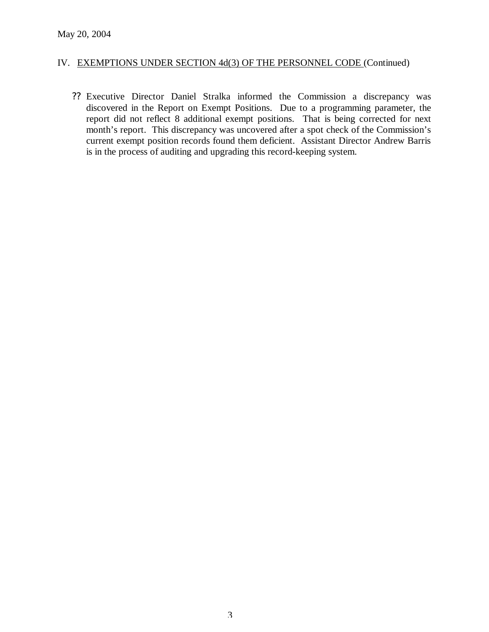?? Executive Director Daniel Stralka informed the Commission a discrepancy was discovered in the Report on Exempt Positions. Due to a programming parameter, the report did not reflect 8 additional exempt positions. That is being corrected for next month's report. This discrepancy was uncovered after a spot check of the Commission's current exempt position records found them deficient. Assistant Director Andrew Barris is in the process of auditing and upgrading this record-keeping system.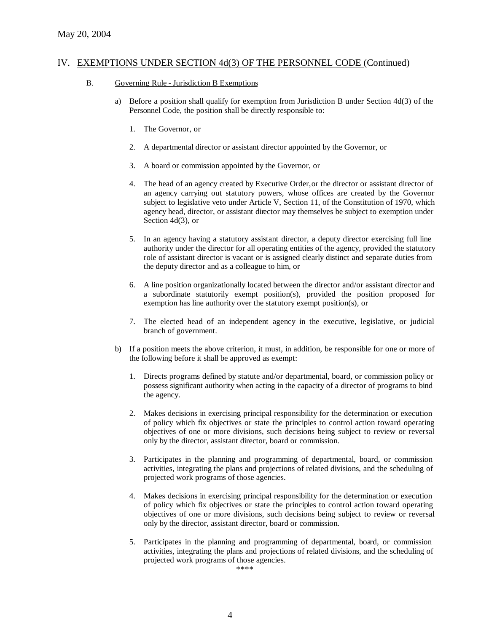- B. Governing Rule Jurisdiction B Exemptions
	- a) Before a position shall qualify for exemption from Jurisdiction B under Section 4d(3) of the Personnel Code, the position shall be directly responsible to:
		- 1. The Governor, or
		- 2. A departmental director or assistant director appointed by the Governor, or
		- 3. A board or commission appointed by the Governor, or
		- 4. The head of an agency created by Executive Order, or the director or assistant director of an agency carrying out statutory powers, whose offices are created by the Governor subject to legislative veto under Article V, Section 11, of the Constitution of 1970, which agency head, director, or assistant director may themselves be subject to exemption under Section 4d(3), or
		- 5. In an agency having a statutory assistant director, a deputy director exercising full line authority under the director for all operating entities of the agency, provided the statutory role of assistant director is vacant or is assigned clearly distinct and separate duties from the deputy director and as a colleague to him, or
		- 6. A line position organizationally located between the director and/or assistant director and a subordinate statutorily exempt position(s), provided the position proposed for exemption has line authority over the statutory exempt position(s), or
		- 7. The elected head of an independent agency in the executive, legislative, or judicial branch of government.
	- b) If a position meets the above criterion, it must, in addition, be responsible for one or more of the following before it shall be approved as exempt:
		- 1. Directs programs defined by statute and/or departmental, board, or commission policy or possess significant authority when acting in the capacity of a director of programs to bind the agency.
		- 2. Makes decisions in exercising principal responsibility for the determination or execution of policy which fix objectives or state the principles to control action toward operating objectives of one or more divisions, such decisions being subject to review or reversal only by the director, assistant director, board or commission.
		- 3. Participates in the planning and programming of departmental, board, or commission activities, integrating the plans and projections of related divisions, and the scheduling of projected work programs of those agencies.
		- 4. Makes decisions in exercising principal responsibility for the determination or execution of policy which fix objectives or state the principles to control action toward operating objectives of one or more divisions, such decisions being subject to review or reversal only by the director, assistant director, board or commission.
		- 5. Participates in the planning and programming of departmental, board, or commission activities, integrating the plans and projections of related divisions, and the scheduling of projected work programs of those agencies.

\*\*\*\*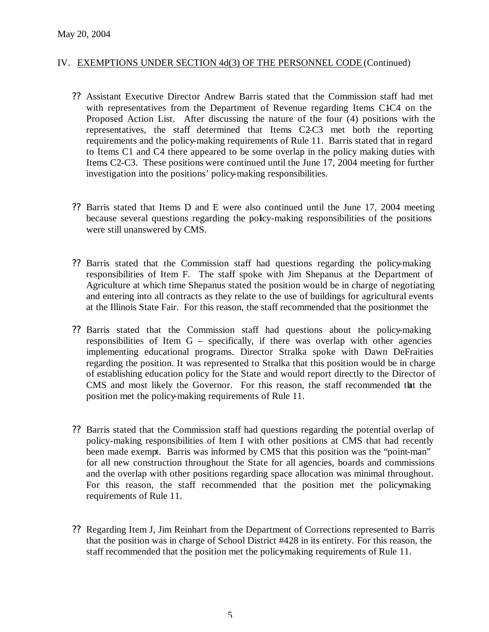- ?? Assistant Executive Director Andrew Barris stated that the Commission staff had met with representatives from the Department of Revenue regarding Items C<sub>1</sub>C<sub>4</sub> on the Proposed Action List. After discussing the nature of the four (4) positions with the representatives, the staff determined that Items C2-C3 met both the reporting requirements and the policy-making requirements of Rule 11. Barris stated that in regard to Items C1 and C4 there appeared to be some overlap in the policy making duties with Items C2-C3. These positions were continued until the June 17, 2004 meeting for further investigation into the positions' policy-making responsibilities.
- ?? Barris stated that Items D and E were also continued until the June 17, 2004 meeting because several questions regarding the policy-making responsibilities of the positions were still unanswered by CMS.
- ?? Barris stated that the Commission staff had questions regarding the policy-making responsibilities of Item F. The staff spoke with Jim Shepanus at the Department of Agriculture at which time Shepanus stated the position would be in charge of negotiating and entering into all contracts as they relate to the use of buildings for agricultural events at the Illinois State Fair. For this reason, the staff recommended that the position met the
- ?? Barris stated that the Commission staff had questions about the policy-making responsibilities of Item G – specifically, if there was overlap with other agencies implementing educational programs. Director Stralka spoke with Dawn DeFraities regarding the position. It was represented to Stralka that this position would be in charge of establishing education policy for the State and would report directly to the Director of CMS and most likely the Governor. For this reason, the staff recommended that the position met the policy-making requirements of Rule 11.
- ?? Barris stated that the Commission staff had questions regarding the potential overlap of policy-making responsibilities of Item I with other positions at CMS that had recently been made exempt. Barris was informed by CMS that this position was the "point-man" for all new construction throughout the State for all agencies, boards and commissions and the overlap with other positions regarding space allocation was minimal throughout. For this reason, the staff recommended that the position met the policymaking requirements of Rule 11.
- ?? Regarding Item J, Jim Reinhart from the Department of Corrections represented to Barris that the position was in charge of School District #428 in its entirety. For this reason, the staff recommended that the position met the policy-making requirements of Rule 11.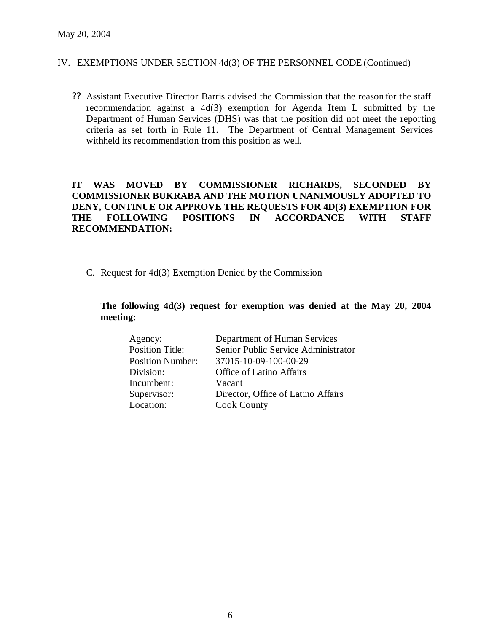?? Assistant Executive Director Barris advised the Commission that the reason for the staff recommendation against a 4d(3) exemption for Agenda Item L submitted by the Department of Human Services (DHS) was that the position did not meet the reporting criteria as set forth in Rule 11. The Department of Central Management Services withheld its recommendation from this position as well.

# **IT WAS MOVED BY COMMISSIONER RICHARDS, SECONDED BY COMMISSIONER BUKRABA AND THE MOTION UNANIMOUSLY ADOPTED TO DENY, CONTINUE OR APPROVE THE REQUESTS FOR 4D(3) EXEMPTION FOR THE FOLLOWING POSITIONS IN ACCORDANCE WITH STAFF RECOMMENDATION:**

C. Request for 4d(3) Exemption Denied by the Commission

## **The following 4d(3) request for exemption was denied at the May 20, 2004 meeting:**

| Agency:                 | Department of Human Services        |
|-------------------------|-------------------------------------|
| <b>Position Title:</b>  | Senior Public Service Administrator |
| <b>Position Number:</b> | 37015-10-09-100-00-29               |
| Division:               | <b>Office of Latino Affairs</b>     |
| Incumbent:              | Vacant                              |
| Supervisor:             | Director, Office of Latino Affairs  |
| Location:               | <b>Cook County</b>                  |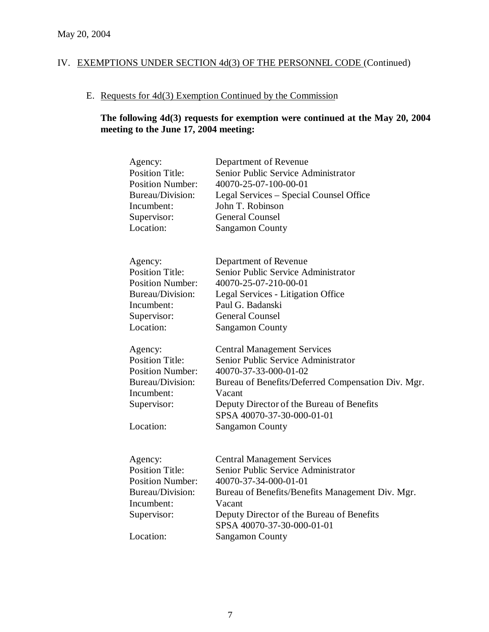# E. Requests for 4d(3) Exemption Continued by the Commission

# **The following 4d(3) requests for exemption were continued at the May 20, 2004 meeting to the June 17, 2004 meeting:**

| Agency:<br><b>Position Title:</b><br><b>Position Number:</b><br>Bureau/Division:<br>Incumbent:<br>Supervisor:<br>Location: | Department of Revenue<br>Senior Public Service Administrator<br>40070-25-07-100-00-01<br>Legal Services – Special Counsel Office<br>John T. Robinson<br><b>General Counsel</b><br><b>Sangamon County</b> |
|----------------------------------------------------------------------------------------------------------------------------|----------------------------------------------------------------------------------------------------------------------------------------------------------------------------------------------------------|
| Agency:                                                                                                                    | Department of Revenue                                                                                                                                                                                    |
| <b>Position Title:</b>                                                                                                     | Senior Public Service Administrator                                                                                                                                                                      |
| <b>Position Number:</b>                                                                                                    | 40070-25-07-210-00-01                                                                                                                                                                                    |
| Bureau/Division:                                                                                                           | Legal Services - Litigation Office                                                                                                                                                                       |
| Incumbent:                                                                                                                 | Paul G. Badanski                                                                                                                                                                                         |
| Supervisor:                                                                                                                | <b>General Counsel</b>                                                                                                                                                                                   |
| Location:                                                                                                                  | <b>Sangamon County</b>                                                                                                                                                                                   |
| Agency:                                                                                                                    | <b>Central Management Services</b>                                                                                                                                                                       |
| <b>Position Title:</b>                                                                                                     | Senior Public Service Administrator                                                                                                                                                                      |
| <b>Position Number:</b>                                                                                                    | 40070-37-33-000-01-02                                                                                                                                                                                    |
| Bureau/Division:                                                                                                           | Bureau of Benefits/Deferred Compensation Div. Mgr.                                                                                                                                                       |
| Incumbent:                                                                                                                 | Vacant                                                                                                                                                                                                   |
| Supervisor:                                                                                                                | Deputy Director of the Bureau of Benefits                                                                                                                                                                |
|                                                                                                                            | SPSA 40070-37-30-000-01-01                                                                                                                                                                               |
| Location:                                                                                                                  | <b>Sangamon County</b>                                                                                                                                                                                   |
|                                                                                                                            |                                                                                                                                                                                                          |
| Agency:                                                                                                                    | <b>Central Management Services</b>                                                                                                                                                                       |
| <b>Position Title:</b>                                                                                                     | Senior Public Service Administrator                                                                                                                                                                      |
| <b>Position Number:</b>                                                                                                    | 40070-37-34-000-01-01                                                                                                                                                                                    |
| Bureau/Division:                                                                                                           | Bureau of Benefits/Benefits Management Div. Mgr.                                                                                                                                                         |
| Incumbent:                                                                                                                 | Vacant                                                                                                                                                                                                   |
| Supervisor:                                                                                                                | Deputy Director of the Bureau of Benefits                                                                                                                                                                |
|                                                                                                                            | SPSA 40070-37-30-000-01-01                                                                                                                                                                               |
| Location:                                                                                                                  | <b>Sangamon County</b>                                                                                                                                                                                   |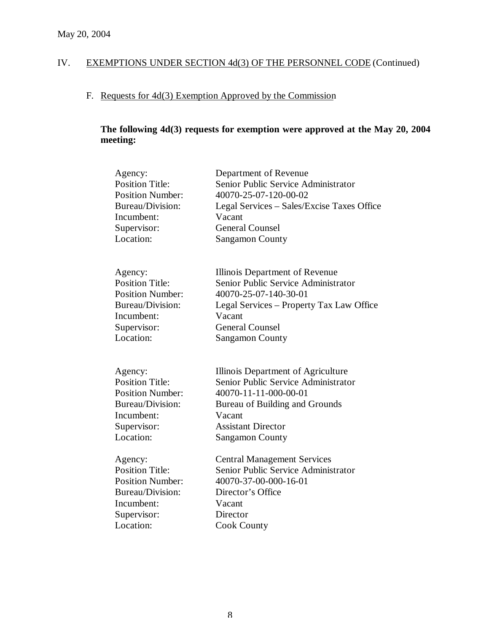# F. Requests for 4d(3) Exemption Approved by the Commission

# **The following 4d(3) requests for exemption were approved at the May 20, 2004 meeting:**

| Agency:                 | Department of Revenue                      |
|-------------------------|--------------------------------------------|
| <b>Position Title:</b>  | Senior Public Service Administrator        |
| <b>Position Number:</b> | 40070-25-07-120-00-02                      |
| <b>Bureau/Division:</b> | Legal Services – Sales/Excise Taxes Office |
| Incumbent:              | Vacant                                     |
| Supervisor:             | <b>General Counsel</b>                     |
| Location:               | <b>Sangamon County</b>                     |
| Agency:                 | Illinois Department of Revenue             |
| <b>Position Title:</b>  | Senior Public Service Administrator        |
| <b>Position Number:</b> | 40070-25-07-140-30-01                      |
| Bureau/Division:        | Legal Services – Property Tax Law Office   |
| Incumbent:              | Vacant                                     |
| Supervisor:             | <b>General Counsel</b>                     |
| Location:               | <b>Sangamon County</b>                     |
| Agency:                 | Illinois Department of Agriculture         |
| <b>Position Title:</b>  | Senior Public Service Administrator        |
| <b>Position Number:</b> | 40070-11-11-000-00-01                      |
| Bureau/Division:        | Bureau of Building and Grounds             |
| Incumbent:              | Vacant                                     |
| Supervisor:             | <b>Assistant Director</b>                  |
| Location:               | <b>Sangamon County</b>                     |
| Agency:                 | <b>Central Management Services</b>         |
| <b>Position Title:</b>  | Senior Public Service Administrator        |
| <b>Position Number:</b> | 40070-37-00-000-16-01                      |
| Bureau/Division:        | Director's Office                          |
| Incumbent:              | Vacant                                     |
| Supervisor:             | Director                                   |
| Location:               | <b>Cook County</b>                         |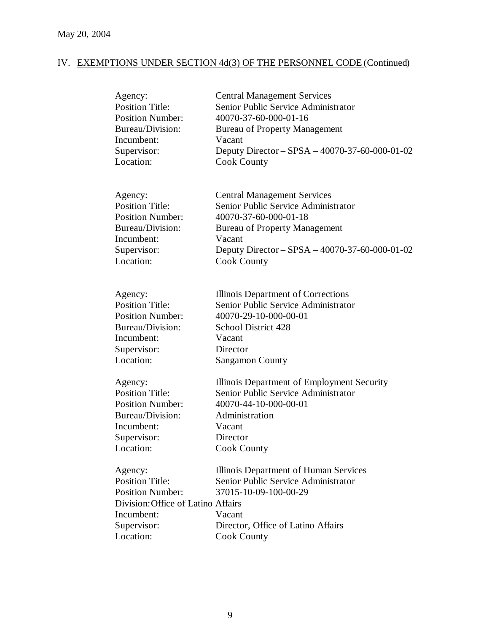| Agency:<br><b>Position Title:</b><br><b>Position Number:</b><br>Bureau/Division:<br>Incumbent: | <b>Central Management Services</b><br>Senior Public Service Administrator<br>40070-37-60-000-01-16<br><b>Bureau of Property Management</b><br>Vacant |
|------------------------------------------------------------------------------------------------|------------------------------------------------------------------------------------------------------------------------------------------------------|
| Supervisor:<br>Location:                                                                       | Deputy Director - SPSA - 40070-37-60-000-01-02<br><b>Cook County</b>                                                                                 |
| Agency:<br><b>Position Title:</b>                                                              | <b>Central Management Services</b><br>Senior Public Service Administrator                                                                            |
| <b>Position Number:</b>                                                                        | 40070-37-60-000-01-18                                                                                                                                |
| Bureau/Division:                                                                               | <b>Bureau of Property Management</b>                                                                                                                 |
| Incumbent:                                                                                     | Vacant                                                                                                                                               |
| Supervisor:                                                                                    | Deputy Director – SPSA – 40070-37-60-000-01-02                                                                                                       |
| Location:                                                                                      | <b>Cook County</b>                                                                                                                                   |
| Agency:                                                                                        | Illinois Department of Corrections                                                                                                                   |
| <b>Position Title:</b>                                                                         | Senior Public Service Administrator                                                                                                                  |
| <b>Position Number:</b>                                                                        | 40070-29-10-000-00-01                                                                                                                                |
| Bureau/Division:                                                                               | School District 428                                                                                                                                  |
| Incumbent:                                                                                     | Vacant                                                                                                                                               |
| Supervisor:                                                                                    | Director                                                                                                                                             |
| Location:                                                                                      | <b>Sangamon County</b>                                                                                                                               |
| Agency:                                                                                        | Illinois Department of Employment Security                                                                                                           |
| <b>Position Title:</b>                                                                         | Senior Public Service Administrator                                                                                                                  |
| <b>Position Number:</b>                                                                        | 40070-44-10-000-00-01                                                                                                                                |
| <b>Bureau/Division:</b>                                                                        | Administration                                                                                                                                       |
| Incumbent:                                                                                     | Vacant                                                                                                                                               |
| Supervisor:                                                                                    | Director                                                                                                                                             |
| Location:                                                                                      | <b>Cook County</b>                                                                                                                                   |
| Agency:                                                                                        | Illinois Department of Human Services                                                                                                                |
| <b>Position Title:</b>                                                                         | Senior Public Service Administrator                                                                                                                  |
| <b>Position Number:</b>                                                                        | 37015-10-09-100-00-29                                                                                                                                |
| Division: Office of Latino Affairs                                                             |                                                                                                                                                      |
| Incumbent:                                                                                     | Vacant                                                                                                                                               |
| Supervisor:                                                                                    | Director, Office of Latino Affairs                                                                                                                   |
| Location:                                                                                      | <b>Cook County</b>                                                                                                                                   |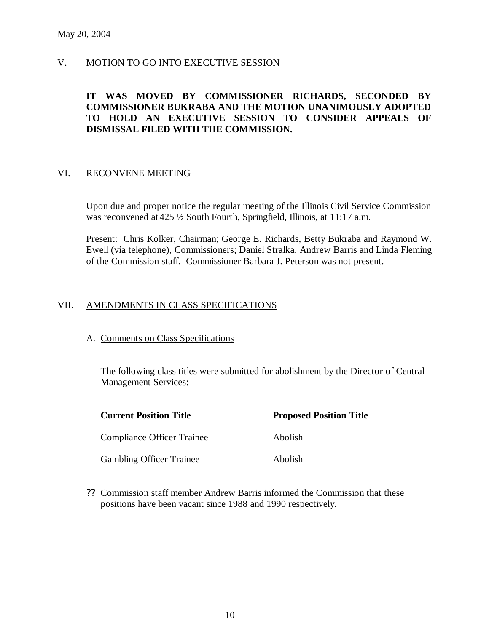## V. MOTION TO GO INTO EXECUTIVE SESSION

## **IT WAS MOVED BY COMMISSIONER RICHARDS, SECONDED BY COMMISSIONER BUKRABA AND THE MOTION UNANIMOUSLY ADOPTED TO HOLD AN EXECUTIVE SESSION TO CONSIDER APPEALS OF DISMISSAL FILED WITH THE COMMISSION.**

#### VI. RECONVENE MEETING

Upon due and proper notice the regular meeting of the Illinois Civil Service Commission was reconvened at 425  $\frac{1}{2}$  South Fourth, Springfield, Illinois, at 11:17 a.m.

Present: Chris Kolker, Chairman; George E. Richards, Betty Bukraba and Raymond W. Ewell (via telephone), Commissioners; Daniel Stralka, Andrew Barris and Linda Fleming of the Commission staff. Commissioner Barbara J. Peterson was not present.

## VII. AMENDMENTS IN CLASS SPECIFICATIONS

#### A. Comments on Class Specifications

The following class titles were submitted for abolishment by the Director of Central Management Services:

| <b>Current Position Title</b>     | <b>Proposed Position Title</b> |
|-----------------------------------|--------------------------------|
| <b>Compliance Officer Trainee</b> | Abolish                        |
| <b>Gambling Officer Trainee</b>   | Abolish                        |

?? Commission staff member Andrew Barris informed the Commission that these positions have been vacant since 1988 and 1990 respectively.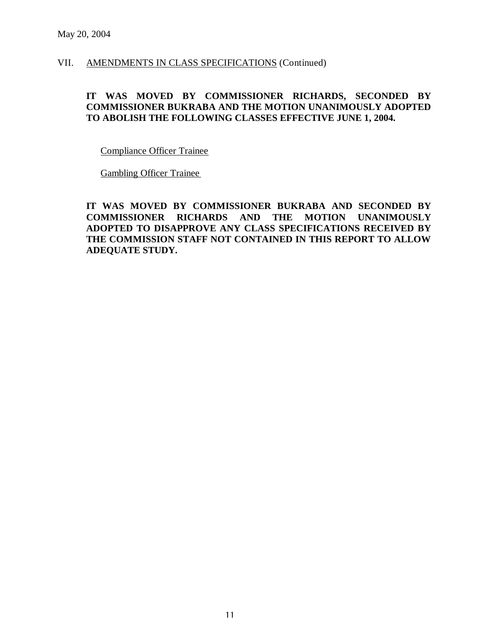VII. AMENDMENTS IN CLASS SPECIFICATIONS (Continued)

## **IT WAS MOVED BY COMMISSIONER RICHARDS, SECONDED BY COMMISSIONER BUKRABA AND THE MOTION UNANIMOUSLY ADOPTED TO ABOLISH THE FOLLOWING CLASSES EFFECTIVE JUNE 1, 2004.**

Compliance Officer Trainee

Gambling Officer Trainee

**IT WAS MOVED BY COMMISSIONER BUKRABA AND SECONDED BY COMMISSIONER RICHARDS AND THE MOTION UNANIMOUSLY ADOPTED TO DISAPPROVE ANY CLASS SPECIFICATIONS RECEIVED BY THE COMMISSION STAFF NOT CONTAINED IN THIS REPORT TO ALLOW ADEQUATE STUDY.**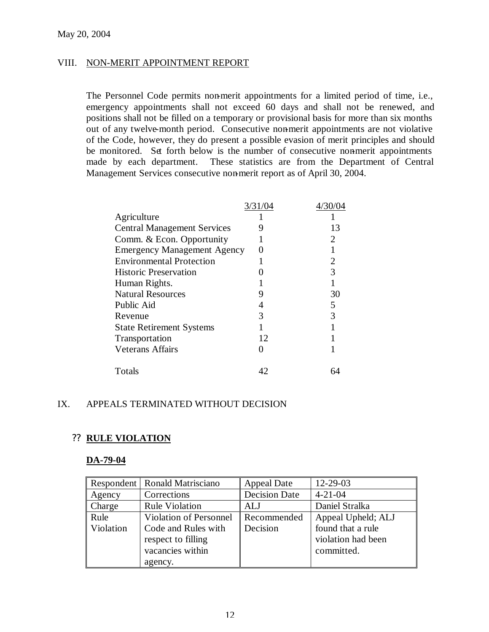#### VIII. NON-MERIT APPOINTMENT REPORT

The Personnel Code permits non-merit appointments for a limited period of time, i.e., emergency appointments shall not exceed 60 days and shall not be renewed, and positions shall not be filled on a temporary or provisional basis for more than six months out of any twelve-month period. Consecutive non-merit appointments are not violative of the Code, however, they do present a possible evasion of merit principles and should be monitored. Set forth below is the number of consecutive non-merit appointments made by each department. These statistics are from the Department of Central Management Services consecutive non-merit report as of April 30, 2004.

|                                    | 3/31/04 | 4/30/04 |
|------------------------------------|---------|---------|
| Agriculture                        |         |         |
| <b>Central Management Services</b> | 9       | 13      |
| Comm. & Econ. Opportunity          |         | 2       |
| <b>Emergency Management Agency</b> | 0       |         |
| <b>Environmental Protection</b>    |         | 2       |
| <b>Historic Preservation</b>       |         | 3       |
| Human Rights.                      |         |         |
| <b>Natural Resources</b>           | Ÿ       | 30      |
| Public Aid                         | 4       | 5       |
| Revenue                            | 3       | 3       |
| <b>State Retirement Systems</b>    |         |         |
| Transportation                     | 12      |         |
| <b>Veterans Affairs</b>            |         |         |
| Totals                             | 42      |         |

## IX. APPEALS TERMINATED WITHOUT DECISION

#### ?? **RULE VIOLATION**

#### **DA-79-04**

|           | Respondent   Ronald Matrisciano | <b>Appeal Date</b>   | 12-29-03           |
|-----------|---------------------------------|----------------------|--------------------|
| Agency    | Corrections                     | <b>Decision Date</b> | $4 - 21 - 04$      |
| Charge    | <b>Rule Violation</b>           | <b>ALJ</b>           | Daniel Stralka     |
| Rule      | <b>Violation of Personnel</b>   | Recommended          | Appeal Upheld; ALJ |
| Violation | Code and Rules with             | Decision             | found that a rule  |
|           | respect to filling              |                      | violation had been |
|           | vacancies within                |                      | committed.         |
|           | agency.                         |                      |                    |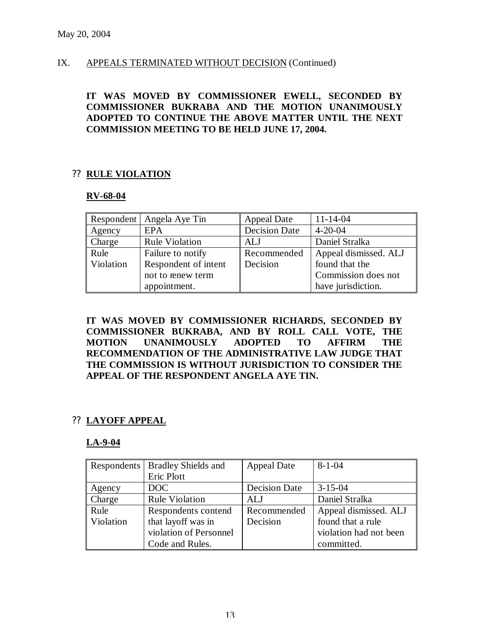## IX. APPEALS TERMINATED WITHOUT DECISION (Continued)

## **IT WAS MOVED BY COMMISSIONER EWELL, SECONDED BY COMMISSIONER BUKRABA AND THE MOTION UNANIMOUSLY ADOPTED TO CONTINUE THE ABOVE MATTER UNTIL THE NEXT COMMISSION MEETING TO BE HELD JUNE 17, 2004.**

## ?? **RULE VIOLATION**

#### **RV-68-04**

|           | Respondent   Angela Aye Tin | <b>Appeal Date</b>   | $11 - 14 - 04$        |
|-----------|-----------------------------|----------------------|-----------------------|
| Agency    | <b>EPA</b>                  | <b>Decision Date</b> | $4 - 20 - 04$         |
| Charge    | <b>Rule Violation</b>       | ALJ                  | Daniel Stralka        |
| Rule      | Failure to notify           | Recommended          | Appeal dismissed. ALJ |
| Violation | Respondent of intent        | Decision             | found that the        |
|           | not to renew term           |                      | Commission does not   |
|           | appointment.                |                      | have jurisdiction.    |

**IT WAS MOVED BY COMMISSIONER RICHARDS, SECONDED BY COMMISSIONER BUKRABA, AND BY ROLL CALL VOTE, THE MOTION UNANIMOUSLY ADOPTED TO AFFIRM THE RECOMMENDATION OF THE ADMINISTRATIVE LAW JUDGE THAT THE COMMISSION IS WITHOUT JURISDICTION TO CONSIDER THE APPEAL OF THE RESPONDENT ANGELA AYE TIN.**

# ?? **LAYOFF APPEAL**

#### **LA-9-04**

|           | Respondents   Bradley Shields and | <b>Appeal Date</b>   | $8 - 1 - 04$           |
|-----------|-----------------------------------|----------------------|------------------------|
|           | Eric Plott                        |                      |                        |
| Agency    | DOC                               | <b>Decision Date</b> | $3 - 15 - 04$          |
| Charge    | <b>Rule Violation</b>             | ALJ                  | Daniel Stralka         |
| Rule      | Respondents contend               | Recommended          | Appeal dismissed. ALJ  |
| Violation | that layoff was in                | Decision             | found that a rule      |
|           | violation of Personnel            |                      | violation had not been |
|           | Code and Rules.                   |                      | committed.             |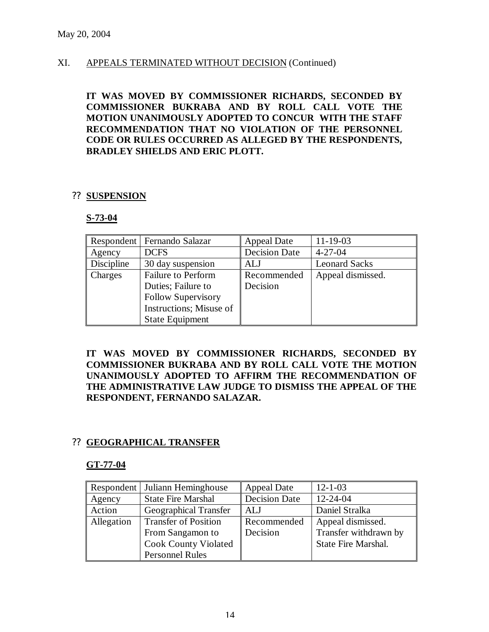## XI. APPEALS TERMINATED WITHOUT DECISION (Continued)

**IT WAS MOVED BY COMMISSIONER RICHARDS, SECONDED BY COMMISSIONER BUKRABA AND BY ROLL CALL VOTE THE MOTION UNANIMOUSLY ADOPTED TO CONCUR WITH THE STAFF RECOMMENDATION THAT NO VIOLATION OF THE PERSONNEL CODE OR RULES OCCURRED AS ALLEGED BY THE RESPONDENTS, BRADLEY SHIELDS AND ERIC PLOTT.**

#### ?? **SUSPENSION**

#### **S-73-04**

|            | Respondent   Fernando Salazar | <b>Appeal Date</b>   | $11 - 19 - 03$       |
|------------|-------------------------------|----------------------|----------------------|
| Agency     | <b>DCFS</b>                   | <b>Decision Date</b> | $4 - 27 - 04$        |
| Discipline | 30 day suspension             | ALJ                  | <b>Leonard Sacks</b> |
| Charges    | <b>Failure to Perform</b>     | Recommended          | Appeal dismissed.    |
|            | Duties; Failure to            | Decision             |                      |
|            | <b>Follow Supervisory</b>     |                      |                      |
|            | Instructions; Misuse of       |                      |                      |
|            | <b>State Equipment</b>        |                      |                      |

**IT WAS MOVED BY COMMISSIONER RICHARDS, SECONDED BY COMMISSIONER BUKRABA AND BY ROLL CALL VOTE THE MOTION UNANIMOUSLY ADOPTED TO AFFIRM THE RECOMMENDATION OF THE ADMINISTRATIVE LAW JUDGE TO DISMISS THE APPEAL OF THE RESPONDENT, FERNANDO SALAZAR.**

# ?? **GEOGRAPHICAL TRANSFER**

#### **GT-77-04**

|            | <b>Respondent</b> Juliann Heminghouse | <b>Appeal Date</b>   | $12 - 1 - 03$              |
|------------|---------------------------------------|----------------------|----------------------------|
| Agency     | <b>State Fire Marshal</b>             | <b>Decision Date</b> | $12 - 24 - 04$             |
| Action     | <b>Geographical Transfer</b>          | ALJ                  | Daniel Stralka             |
| Allegation | <b>Transfer of Position</b>           | Recommended          | Appeal dismissed.          |
|            | From Sangamon to                      | Decision             | Transfer withdrawn by      |
|            | <b>Cook County Violated</b>           |                      | <b>State Fire Marshal.</b> |
|            | <b>Personnel Rules</b>                |                      |                            |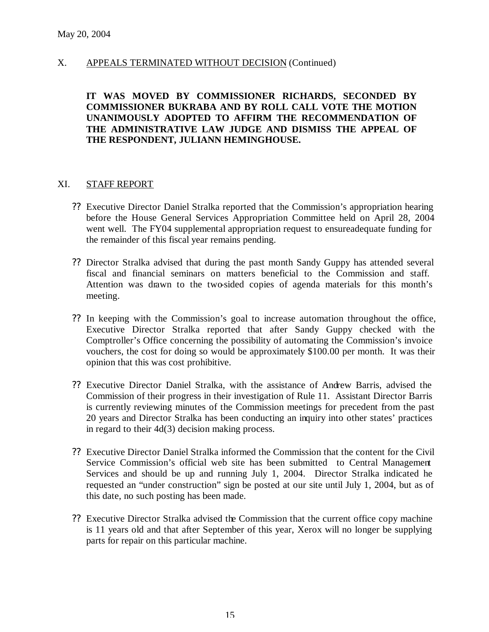## X. APPEALS TERMINATED WITHOUT DECISION (Continued)

## **IT WAS MOVED BY COMMISSIONER RICHARDS, SECONDED BY COMMISSIONER BUKRABA AND BY ROLL CALL VOTE THE MOTION UNANIMOUSLY ADOPTED TO AFFIRM THE RECOMMENDATION OF THE ADMINISTRATIVE LAW JUDGE AND DISMISS THE APPEAL OF THE RESPONDENT, JULIANN HEMINGHOUSE.**

#### XI. STAFF REPORT

- ?? Executive Director Daniel Stralka reported that the Commission's appropriation hearing before the House General Services Appropriation Committee held on April 28, 2004 went well. The FY04 supplemental appropriation request to ensureadequate funding for the remainder of this fiscal year remains pending.
- ?? Director Stralka advised that during the past month Sandy Guppy has attended several fiscal and financial seminars on matters beneficial to the Commission and staff. Attention was drawn to the two-sided copies of agenda materials for this month's meeting.
- ?? In keeping with the Commission's goal to increase automation throughout the office, Executive Director Stralka reported that after Sandy Guppy checked with the Comptroller's Office concerning the possibility of automating the Commission's invoice vouchers, the cost for doing so would be approximately \$100.00 per month. It was their opinion that this was cost prohibitive.
- ?? Executive Director Daniel Stralka, with the assistance of Andrew Barris, advised the Commission of their progress in their investigation of Rule 11. Assistant Director Barris is currently reviewing minutes of the Commission meetings for precedent from the past 20 years and Director Stralka has been conducting an inquiry into other states' practices in regard to their 4d(3) decision making process.
- ?? Executive Director Daniel Stralka informed the Commission that the content for the Civil Service Commission's official web site has been submitted to Central Management Services and should be up and running July 1, 2004. Director Stralka indicated he requested an "under construction" sign be posted at our site until July 1, 2004, but as of this date, no such posting has been made.
- ?? Executive Director Stralka advised the Commission that the current office copy machine is 11 years old and that after September of this year, Xerox will no longer be supplying parts for repair on this particular machine.